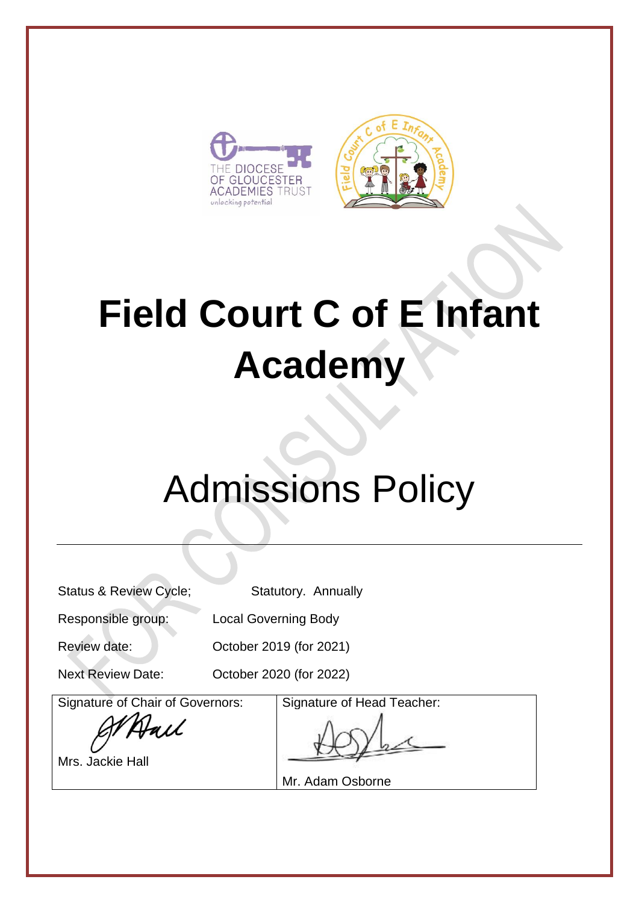



# **Field Court C of E Infant Academy**

# Admissions Policy

Status & Review Cycle; Statutory. Annually

Responsible group: Local Governing Body

Review date: Corrected Bootober 2019 (for 2021)

Next Review Date: October 2020 (for 2022)

Signature of Chair of Governors:

Hall

Mrs. Jackie Hall

Signature of Head Teacher:

Mr. Adam Osborne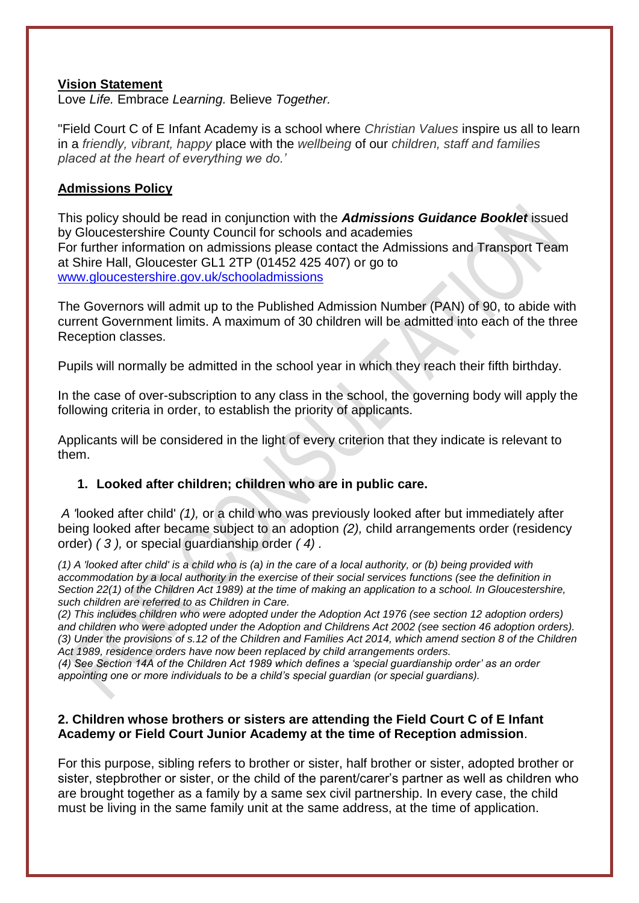#### **Vision Statement**

Love *Life.* Embrace *Learning.* Believe *Together.*

"Field Court C of E Infant Academy is a school where *Christian Values* inspire us all to learn in a *friendly, vibrant, happy* place with the *wellbeing* of our *children, staff and families placed at the heart of everything we do.'*

#### **Admissions Policy**

This policy should be read in conjunction with the *Admissions Guidance Booklet* issued by Gloucestershire County Council for schools and academies For further information on admissions please contact the Admissions and Transport Team at Shire Hall, Gloucester GL1 2TP (01452 425 407) or go to [www.gloucestershire.gov.uk/schooladmissions](http://www.gloucestershire.gov.uk/schooladmissions)

The Governors will admit up to the Published Admission Number (PAN) of 90, to abide with current Government limits. A maximum of 30 children will be admitted into each of the three Reception classes.

Pupils will normally be admitted in the school year in which they reach their fifth birthday.

In the case of over-subscription to any class in the school, the governing body will apply the following criteria in order, to establish the priority of applicants.

Applicants will be considered in the light of every criterion that they indicate is relevant to them.

#### **1. Looked after children; children who are in public care.**

*A '*looked after child' *(1),* or a child who was previously looked after but immediately after being looked after became subject to an adoption *(2),* child arrangements order (residency order) *( 3 ),* or special guardianship order *( 4) .* 

*(1) A 'looked after child' is a child who is (a) in the care of a local authority, or (b) being provided with accommodation by a local authority in the exercise of their social services functions (see the definition in Section 22(1) of the Children Act 1989) at the time of making an application to a school. In Gloucestershire, such children are referred to as Children in Care.* 

*(2) This includes children who were adopted under the Adoption Act 1976 (see section 12 adoption orders) and children who were adopted under the Adoption and Childrens Act 2002 (see section 46 adoption orders). (3) Under the provisions of s.12 of the Children and Families Act 2014, which amend section 8 of the Children Act 1989, residence orders have now been replaced by child arrangements orders.* 

*(4) See Section 14A of the Children Act 1989 which defines a 'special guardianship order' as an order appointing one or more individuals to be a child's special guardian (or special guardians).* 

#### **2. Children whose brothers or sisters are attending the Field Court C of E Infant Academy or Field Court Junior Academy at the time of Reception admission**.

For this purpose, sibling refers to brother or sister, half brother or sister, adopted brother or sister, stepbrother or sister, or the child of the parent/carer's partner as well as children who are brought together as a family by a same sex civil partnership. In every case, the child must be living in the same family unit at the same address, at the time of application.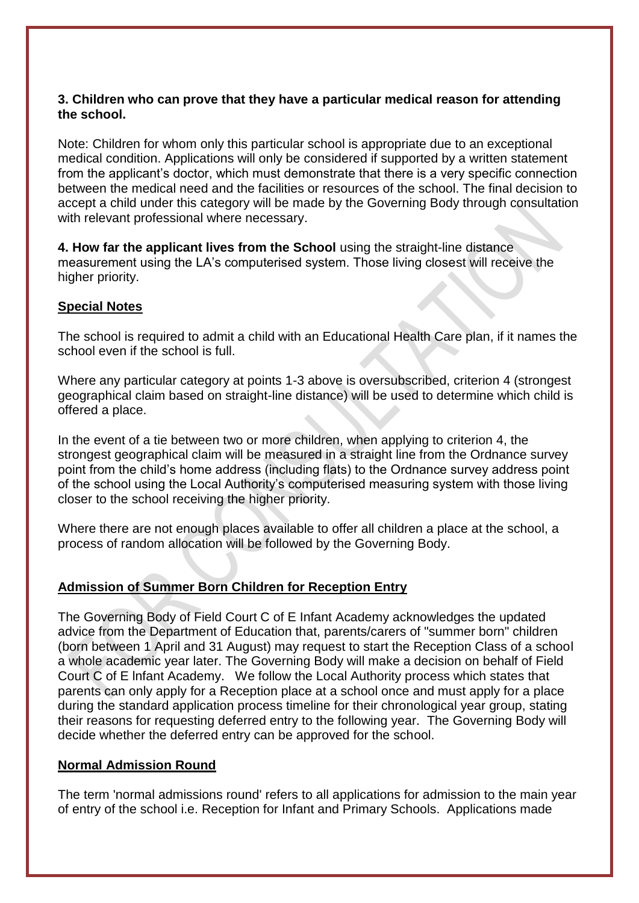#### **3. Children who can prove that they have a particular medical reason for attending the school.**

Note: Children for whom only this particular school is appropriate due to an exceptional medical condition. Applications will only be considered if supported by a written statement from the applicant's doctor, which must demonstrate that there is a very specific connection between the medical need and the facilities or resources of the school. The final decision to accept a child under this category will be made by the Governing Body through consultation with relevant professional where necessary.

**4. How far the applicant lives from the School** using the straight-line distance measurement using the LA's computerised system. Those living closest will receive the higher priority.

#### **Special Notes**

The school is required to admit a child with an Educational Health Care plan, if it names the school even if the school is full.

Where any particular category at points 1-3 above is oversubscribed, criterion 4 (strongest geographical claim based on straight-line distance) will be used to determine which child is offered a place.

In the event of a tie between two or more children, when applying to criterion 4, the strongest geographical claim will be measured in a straight line from the Ordnance survey point from the child's home address (including flats) to the Ordnance survey address point of the school using the Local Authority's computerised measuring system with those living closer to the school receiving the higher priority.

Where there are not enough places available to offer all children a place at the school, a process of random allocation will be followed by the Governing Body.

## **Admission of Summer Born Children for Reception Entry**

The Governing Body of Field Court C of E Infant Academy acknowledges the updated advice from the Department of Education that, parents/carers of "summer born" children (born between 1 April and 31 August) may request to start the Reception Class of a school a whole academic year later. The Governing Body will make a decision on behalf of Field Court C of E lnfant Academy. We follow the Local Authority process which states that parents can only apply for a Reception place at a school once and must apply for a place during the standard application process timeline for their chronological year group, stating their reasons for requesting deferred entry to the following year. The Governing Body will decide whether the deferred entry can be approved for the school.

#### **Normal Admission Round**

The term 'normal admissions round' refers to all applications for admission to the main year of entry of the school i.e. Reception for Infant and Primary Schools. Applications made